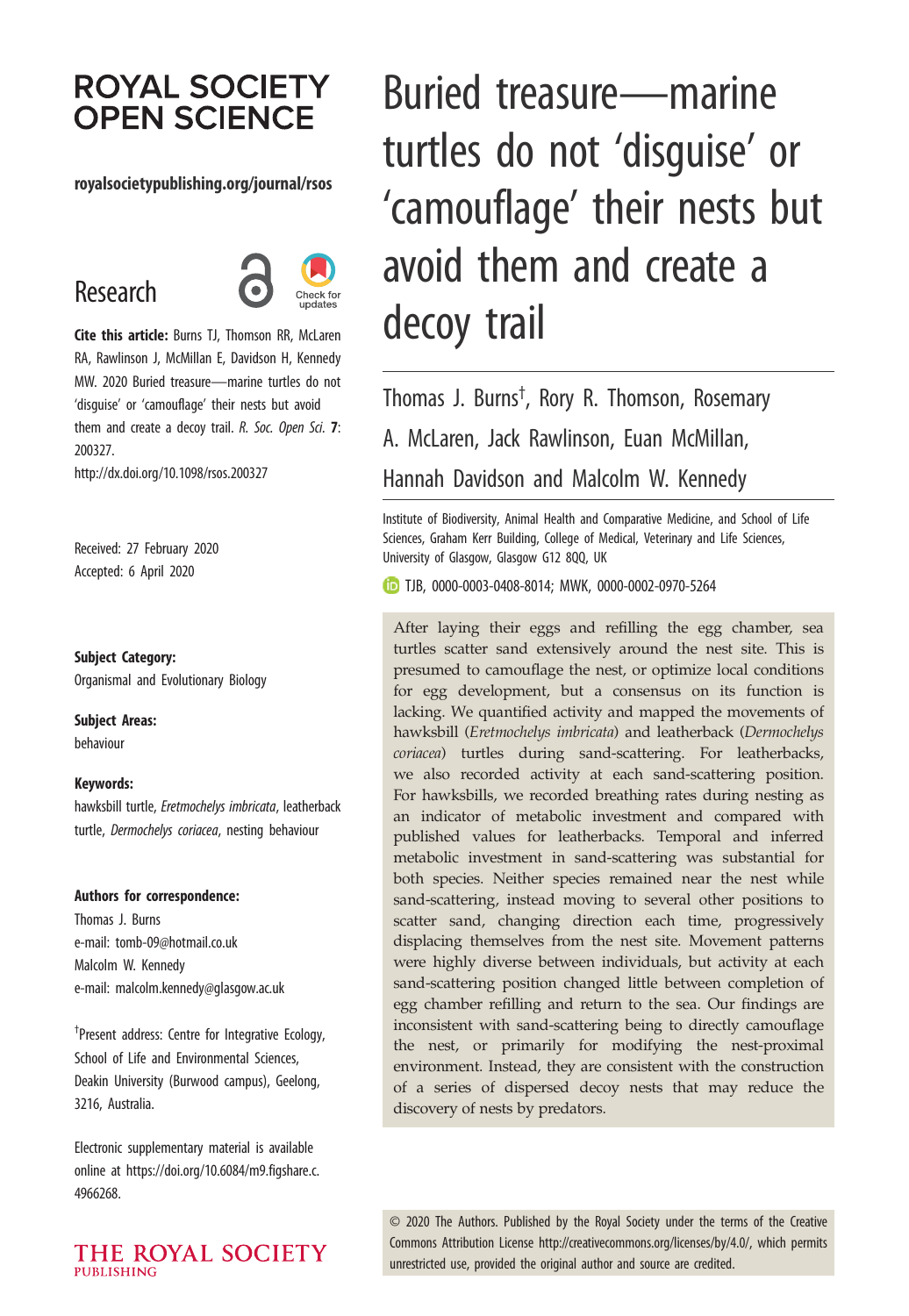# **ROYAL SOCIETY OPEN SCIENCE**

#### royalsocietypublishing.org/journal/rsos

# Research



Cite this article: Burns TJ, Thomson RR, McLaren RA, Rawlinson J, McMillan E, Davidson H, Kennedy MW. 2020 Buried treasure—marine turtles do not 'disguise' or 'camouflage' their nests but avoid them and create a decoy trail. R. Soc. Open Sci. 7: 200327.

http://dx.doi.org/10.1098/rsos.200327

Received: 27 February 2020 Accepted: 6 April 2020

#### Subject Category:

Organismal and Evolutionary Biology

#### Subject Areas:

behaviour

#### Keywords:

hawksbill turtle, Eretmochelys imbricata, leatherback turtle, Dermochelys coriacea, nesting behaviour

#### Authors for correspondence:

Thomas J. Burns e-mail: [tomb-09@hotmail.co.uk](mailto:tomb-09@hotmail.co.uk) Malcolm W. Kennedy e-mail: [malcolm.kennedy@glasgow.ac.uk](mailto:malcolm.kennedy@glasgow.ac.uk)

† Present address: Centre for Integrative Ecology, School of Life and Environmental Sciences, Deakin University (Burwood campus), Geelong, 3216, Australia.

Electronic supplementary material is available online at [https://doi.org/10.6084/m9.figshare.c.](https://doi.org/10.6084/m9.figshare.c.4966268) [4966268.](https://doi.org/10.6084/m9.figshare.c.4966268)

THE ROYAL SOCIETY **PUBLISHING** 

Buried treasure—marine turtles do not 'disguise' or 'camouflage' their nests but avoid them and create a decoy trail

Thomas J. Burns† , Rory R. Thomson, Rosemary A. McLaren, Jack Rawlinson, Euan McMillan, Hannah Davidson and Malcolm W. Kennedy

Institute of Biodiversity, Animal Health and Comparative Medicine, and School of Life Sciences, Graham Kerr Building, College of Medical, Veterinary and Life Sciences, University of Glasgow, Glasgow G12 8QQ, UK

TJB, [0000-0003-0408-8014](http://orcid.org/0000-0003-0408-8014); MWK, [0000-0002-0970-5264](http://orcid.org/0000-0002-0970-5264)

After laying their eggs and refilling the egg chamber, sea turtles scatter sand extensively around the nest site. This is presumed to camouflage the nest, or optimize local conditions for egg development, but a consensus on its function is lacking. We quantified activity and mapped the movements of hawksbill (Eretmochelys imbricata) and leatherback (Dermochelys coriacea) turtles during sand-scattering. For leatherbacks, we also recorded activity at each sand-scattering position. For hawksbills, we recorded breathing rates during nesting as an indicator of metabolic investment and compared with published values for leatherbacks. Temporal and inferred metabolic investment in sand-scattering was substantial for both species. Neither species remained near the nest while sand-scattering, instead moving to several other positions to scatter sand, changing direction each time, progressively displacing themselves from the nest site. Movement patterns were highly diverse between individuals, but activity at each sand-scattering position changed little between completion of egg chamber refilling and return to the sea. Our findings are inconsistent with sand-scattering being to directly camouflage the nest, or primarily for modifying the nest-proximal environment. Instead, they are consistent with the construction of a series of dispersed decoy nests that may reduce the discovery of nests by predators.

© 2020 The Authors. Published by the Royal Society under the terms of the Creative Commons Attribution License<http://creativecommons.org/licenses/by/4.0/>, which permits unrestricted use, provided the original author and source are credited.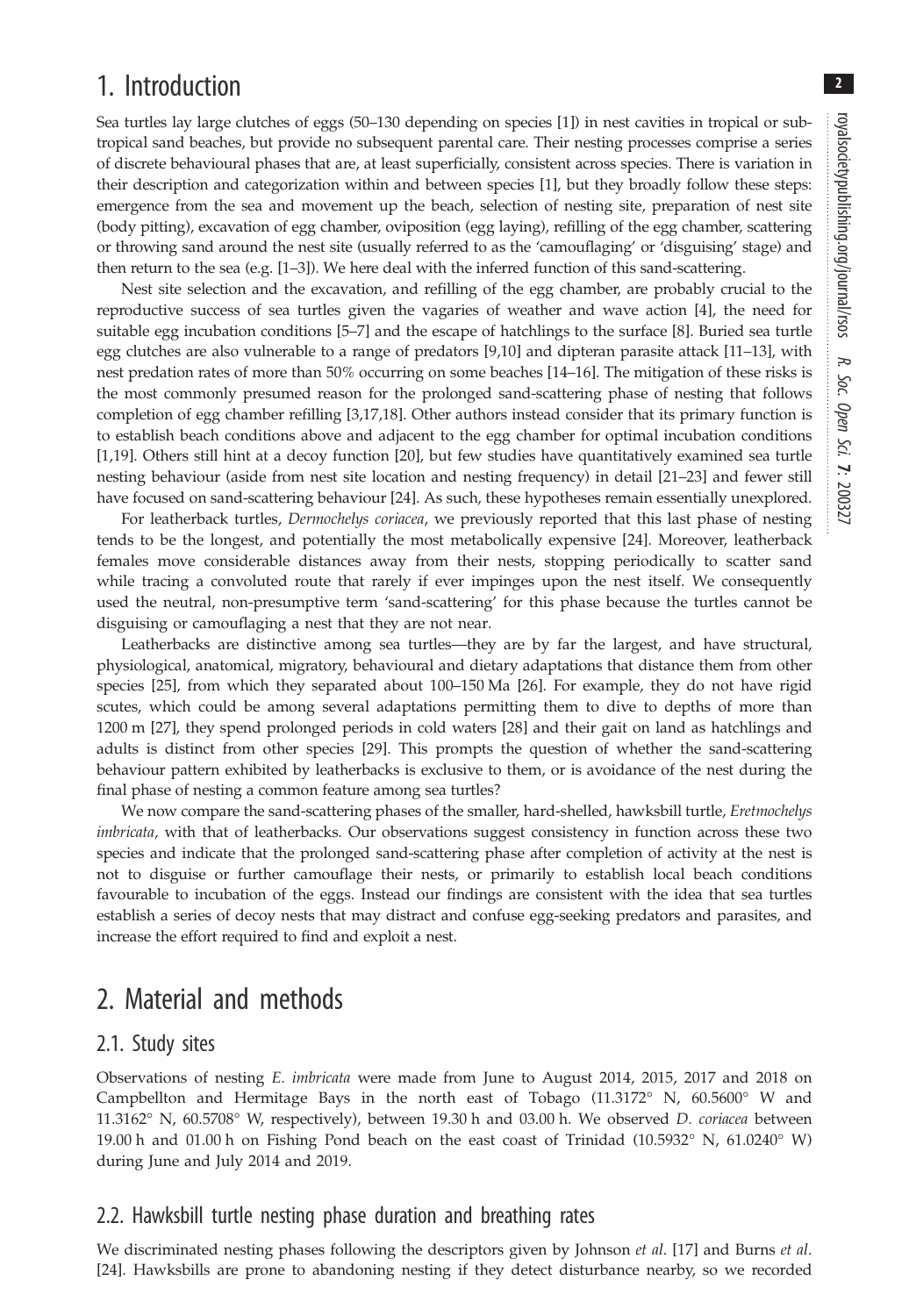2

## 1. Introduction

Sea turtles lay large clutches of eggs (50–130 depending on species [[1](#page-8-0)]) in nest cavities in tropical or subtropical sand beaches, but provide no subsequent parental care. Their nesting processes comprise a series of discrete behavioural phases that are, at least superficially, consistent across species. There is variation in their description and categorization within and between species [[1](#page-8-0)], but they broadly follow these steps: emergence from the sea and movement up the beach, selection of nesting site, preparation of nest site (body pitting), excavation of egg chamber, oviposition (egg laying), refilling of the egg chamber, scattering or throwing sand around the nest site (usually referred to as the 'camouflaging' or 'disguising' stage) and then return to the sea (e.g. [\[1](#page-8-0)–[3](#page-8-0)]). We here deal with the inferred function of this sand-scattering.

Nest site selection and the excavation, and refilling of the egg chamber, are probably crucial to the reproductive success of sea turtles given the vagaries of weather and wave action [[4](#page-8-0)], the need for suitable egg incubation conditions [\[5](#page-8-0)–[7\]](#page-8-0) and the escape of hatchlings to the surface [[8](#page-8-0)]. Buried sea turtle egg clutches are also vulnerable to a range of predators [[9](#page-9-0),[10](#page-9-0)] and dipteran parasite attack [[11](#page-9-0)–[13\]](#page-9-0), with nest predation rates of more than 50% occurring on some beaches [\[14](#page-9-0)–[16](#page-9-0)]. The mitigation of these risks is the most commonly presumed reason for the prolonged sand-scattering phase of nesting that follows completion of egg chamber refilling [[3](#page-8-0),[17](#page-9-0),[18\]](#page-9-0). Other authors instead consider that its primary function is to establish beach conditions above and adjacent to the egg chamber for optimal incubation conditions [\[1,](#page-8-0)[19](#page-9-0)]. Others still hint at a decoy function [\[20](#page-9-0)], but few studies have quantitatively examined sea turtle nesting behaviour (aside from nest site location and nesting frequency) in detail [[21](#page-9-0)–[23](#page-9-0)] and fewer still have focused on sand-scattering behaviour [\[24](#page-9-0)]. As such, these hypotheses remain essentially unexplored.

For leatherback turtles, Dermochelys coriacea, we previously reported that this last phase of nesting tends to be the longest, and potentially the most metabolically expensive [\[24](#page-9-0)]. Moreover, leatherback females move considerable distances away from their nests, stopping periodically to scatter sand while tracing a convoluted route that rarely if ever impinges upon the nest itself. We consequently used the neutral, non-presumptive term 'sand-scattering' for this phase because the turtles cannot be disguising or camouflaging a nest that they are not near.

Leatherbacks are distinctive among sea turtles—they are by far the largest, and have structural, physiological, anatomical, migratory, behavioural and dietary adaptations that distance them from other species [[25\]](#page-9-0), from which they separated about 100–150 Ma [\[26\]](#page-9-0). For example, they do not have rigid scutes, which could be among several adaptations permitting them to dive to depths of more than 1200 m [\[27](#page-9-0)], they spend prolonged periods in cold waters [\[28](#page-9-0)] and their gait on land as hatchlings and adults is distinct from other species [[29\]](#page-9-0). This prompts the question of whether the sand-scattering behaviour pattern exhibited by leatherbacks is exclusive to them, or is avoidance of the nest during the final phase of nesting a common feature among sea turtles?

We now compare the sand-scattering phases of the smaller, hard-shelled, hawksbill turtle, Eretmochelys imbricata, with that of leatherbacks. Our observations suggest consistency in function across these two species and indicate that the prolonged sand-scattering phase after completion of activity at the nest is not to disguise or further camouflage their nests, or primarily to establish local beach conditions favourable to incubation of the eggs. Instead our findings are consistent with the idea that sea turtles establish a series of decoy nests that may distract and confuse egg-seeking predators and parasites, and increase the effort required to find and exploit a nest.

## 2. Material and methods

### 2.1. Study sites

Observations of nesting E. imbricata were made from June to August 2014, 2015, 2017 and 2018 on Campbellton and Hermitage Bays in the north east of Tobago  $(11.3172)$ ° N,  $60.5600$ ° W and 11.3162° N, 60.5708° W, respectively), between 19.30 h and 03.00 h. We observed D. coriacea between 19.00 h and 01.00 h on Fishing Pond beach on the east coast of Trinidad (10.5932° N, 61.0240° W) during June and July 2014 and 2019.

### 2.2. Hawksbill turtle nesting phase duration and breathing rates

We discriminated nesting phases following the descriptors given by Johnson et al. [\[17](#page-9-0)] and Burns et al. [\[24](#page-9-0)]. Hawksbills are prone to abandoning nesting if they detect disturbance nearby, so we recorded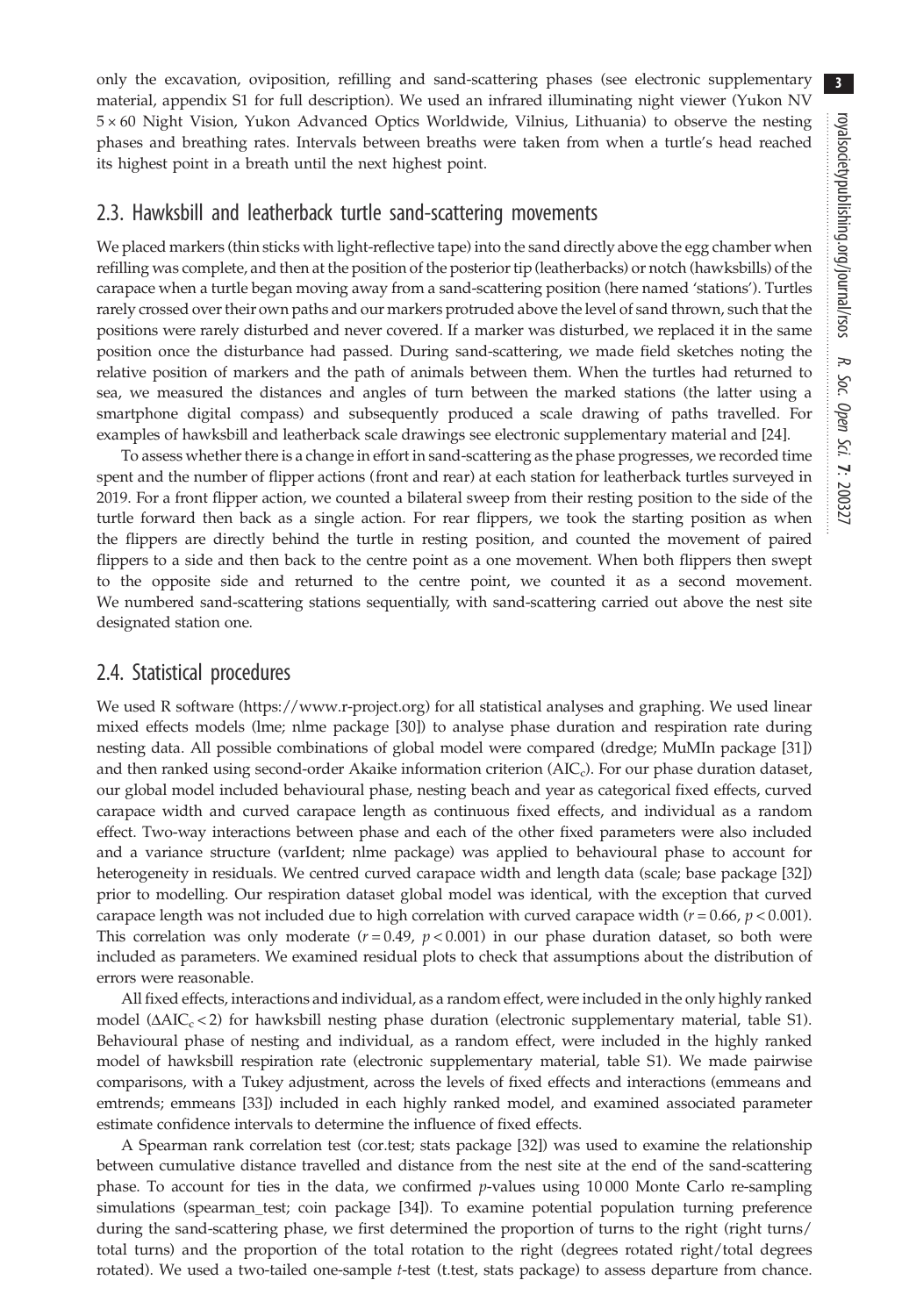only the excavation, oviposition, refilling and sand-scattering phases (see electronic supplementary material, appendix S1 for full description). We used an infrared illuminating night viewer (Yukon NV 5 × 60 Night Vision, Yukon Advanced Optics Worldwide, Vilnius, Lithuania) to observe the nesting phases and breathing rates. Intervals between breaths were taken from when a turtle's head reached its highest point in a breath until the next highest point.

#### 2.3. Hawksbill and leatherback turtle sand-scattering movements

We placed markers (thin sticks with light-reflective tape) into the sand directly above the egg chamber when refilling was complete, and then at the position of the posterior tip (leatherbacks) or notch (hawksbills) of the carapace when a turtle began moving away from a sand-scattering position (here named 'stations'). Turtles rarely crossed over their own paths and our markers protruded above the level of sand thrown, such that the positions were rarely disturbed and never covered. If a marker was disturbed, we replaced it in the same position once the disturbance had passed. During sand-scattering, we made field sketches noting the relative position of markers and the path of animals between them. When the turtles had returned to sea, we measured the distances and angles of turn between the marked stations (the latter using a smartphone digital compass) and subsequently produced a scale drawing of paths travelled. For examples of hawksbill and leatherback scale drawings see electronic supplementary material and [\[24](#page-9-0)].

To assess whether there is a change in effort in sand-scattering as the phase progresses, we recorded time spent and the number of flipper actions (front and rear) at each station for leatherback turtles surveyed in 2019. For a front flipper action, we counted a bilateral sweep from their resting position to the side of the turtle forward then back as a single action. For rear flippers, we took the starting position as when the flippers are directly behind the turtle in resting position, and counted the movement of paired flippers to a side and then back to the centre point as a one movement. When both flippers then swept to the opposite side and returned to the centre point, we counted it as a second movement. We numbered sand-scattering stations sequentially, with sand-scattering carried out above the nest site designated station one.

### 2.4. Statistical procedures

We used R software (<https://www.r-project.org>) for all statistical analyses and graphing. We used linear mixed effects models (lme; nlme package [\[30\]](#page-9-0)) to analyse phase duration and respiration rate during nesting data. All possible combinations of global model were compared (dredge; MuMIn package [[31\]](#page-9-0)) and then ranked using second-order Akaike information criterion  $(AIC_c)$ . For our phase duration dataset, our global model included behavioural phase, nesting beach and year as categorical fixed effects, curved carapace width and curved carapace length as continuous fixed effects, and individual as a random effect. Two-way interactions between phase and each of the other fixed parameters were also included and a variance structure (varIdent; nlme package) was applied to behavioural phase to account for heterogeneity in residuals. We centred curved carapace width and length data (scale; base package [[32\]](#page-9-0)) prior to modelling. Our respiration dataset global model was identical, with the exception that curved carapace length was not included due to high correlation with curved carapace width ( $r = 0.66$ ,  $p < 0.001$ ). This correlation was only moderate  $(r = 0.49, p < 0.001)$  in our phase duration dataset, so both were included as parameters. We examined residual plots to check that assumptions about the distribution of errors were reasonable.

All fixed effects, interactions and individual, as a random effect, were included in the only highly ranked model ( $\Delta AIC_c$  < 2) for hawksbill nesting phase duration (electronic supplementary material, table S1). Behavioural phase of nesting and individual, as a random effect, were included in the highly ranked model of hawksbill respiration rate (electronic supplementary material, table S1). We made pairwise comparisons, with a Tukey adjustment, across the levels of fixed effects and interactions (emmeans and emtrends; emmeans [\[33](#page-9-0)]) included in each highly ranked model, and examined associated parameter estimate confidence intervals to determine the influence of fixed effects.

A Spearman rank correlation test (cor.test; stats package [[32\]](#page-9-0)) was used to examine the relationship between cumulative distance travelled and distance from the nest site at the end of the sand-scattering phase. To account for ties in the data, we confirmed p-values using 10 000 Monte Carlo re-sampling simulations (spearman\_test; coin package [[34\]](#page-9-0)). To examine potential population turning preference during the sand-scattering phase, we first determined the proportion of turns to the right (right turns/ total turns) and the proportion of the total rotation to the right (degrees rotated right/total degrees rotated). We used a two-tailed one-sample t-test (t.test, stats package) to assess departure from chance.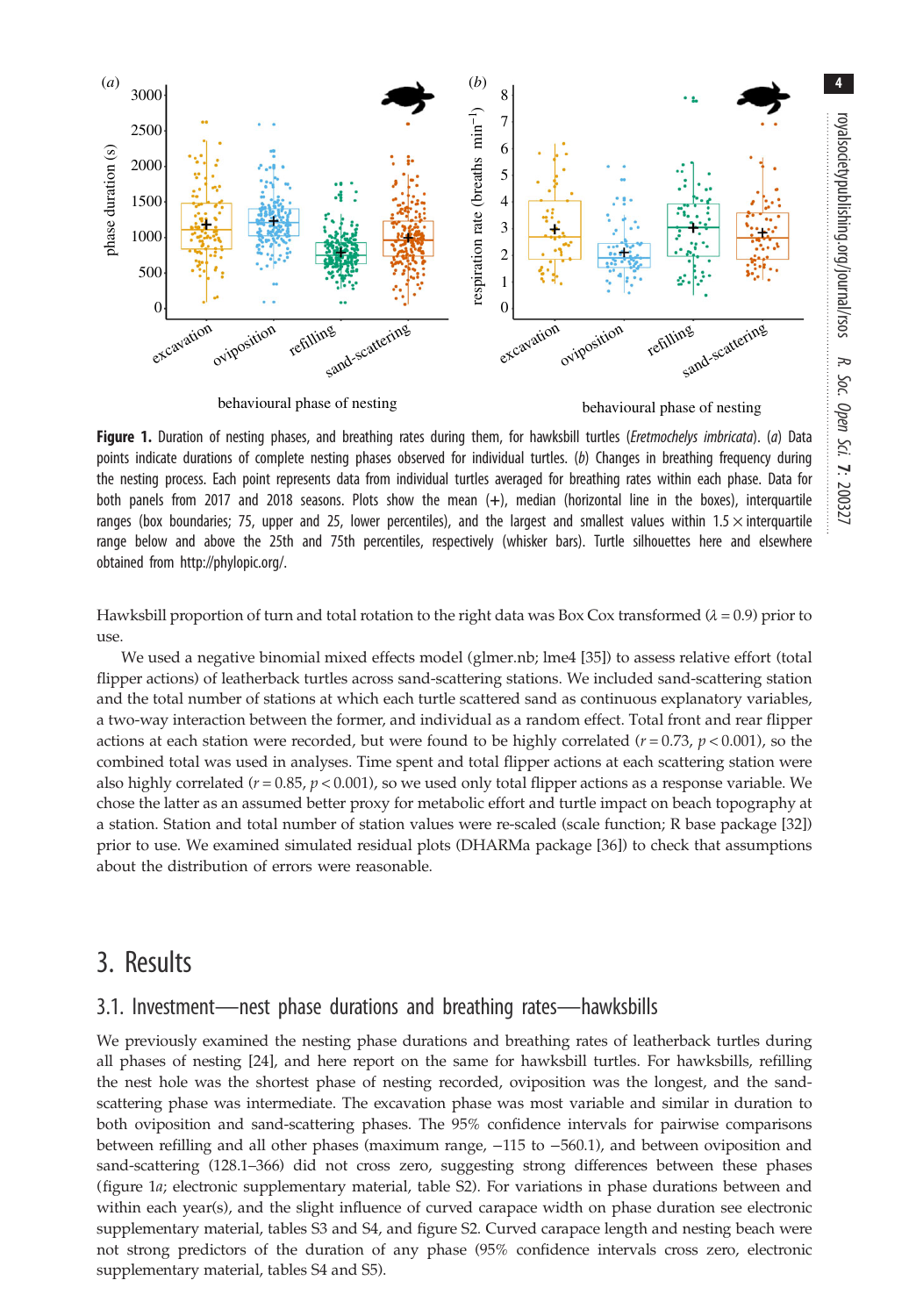<span id="page-3-0"></span>

behavioural phase of nesting behavioural phase of nesting

Figure 1. Duration of nesting phases, and breathing rates during them, for hawksbill turtles (Eretmochelys imbricata). (a) Data points indicate durations of complete nesting phases observed for individual turtles. (b) Changes in breathing frequency during the nesting process. Each point represents data from individual turtles averaged for breathing rates within each phase. Data for both panels from 2017 and 2018 seasons. Plots show the mean (+), median (horizontal line in the boxes), interquartile ranges (box boundaries; 75, upper and 25, lower percentiles), and the largest and smallest values within  $1.5 \times$  interguartile range below and above the 25th and 75th percentiles, respectively (whisker bars). Turtle silhouettes here and elsewhere obtained from<http://phylopic.org/>.

Hawksbill proportion of turn and total rotation to the right data was Box Cox transformed ( $\lambda$  = 0.9) prior to use.

We used a negative binomial mixed effects model (glmer.nb; lme4 [\[35](#page-9-0)]) to assess relative effort (total flipper actions) of leatherback turtles across sand-scattering stations. We included sand-scattering station and the total number of stations at which each turtle scattered sand as continuous explanatory variables, a two-way interaction between the former, and individual as a random effect. Total front and rear flipper actions at each station were recorded, but were found to be highly correlated ( $r = 0.73$ ,  $p < 0.001$ ), so the combined total was used in analyses. Time spent and total flipper actions at each scattering station were also highly correlated ( $r = 0.85$ ,  $p < 0.001$ ), so we used only total flipper actions as a response variable. We chose the latter as an assumed better proxy for metabolic effort and turtle impact on beach topography at a station. Station and total number of station values were re-scaled (scale function; R base package [[32\]](#page-9-0)) prior to use. We examined simulated residual plots (DHARMa package [[36\]](#page-9-0)) to check that assumptions about the distribution of errors were reasonable.

### 3. Results

### 3.1. Investment—nest phase durations and breathing rates—hawksbills

We previously examined the nesting phase durations and breathing rates of leatherback turtles during all phases of nesting [[24](#page-9-0)], and here report on the same for hawksbill turtles. For hawksbills, refilling the nest hole was the shortest phase of nesting recorded, oviposition was the longest, and the sandscattering phase was intermediate. The excavation phase was most variable and similar in duration to both oviposition and sand-scattering phases. The 95% confidence intervals for pairwise comparisons between refilling and all other phases (maximum range, −115 to −560.1), and between oviposition and sand-scattering (128.1–366) did not cross zero, suggesting strong differences between these phases (figure 1a; electronic supplementary material, table S2). For variations in phase durations between and within each year(s), and the slight influence of curved carapace width on phase duration see electronic supplementary material, tables S3 and S4, and figure S2. Curved carapace length and nesting beach were not strong predictors of the duration of any phase (95% confidence intervals cross zero, electronic supplementary material, tables S4 and S5).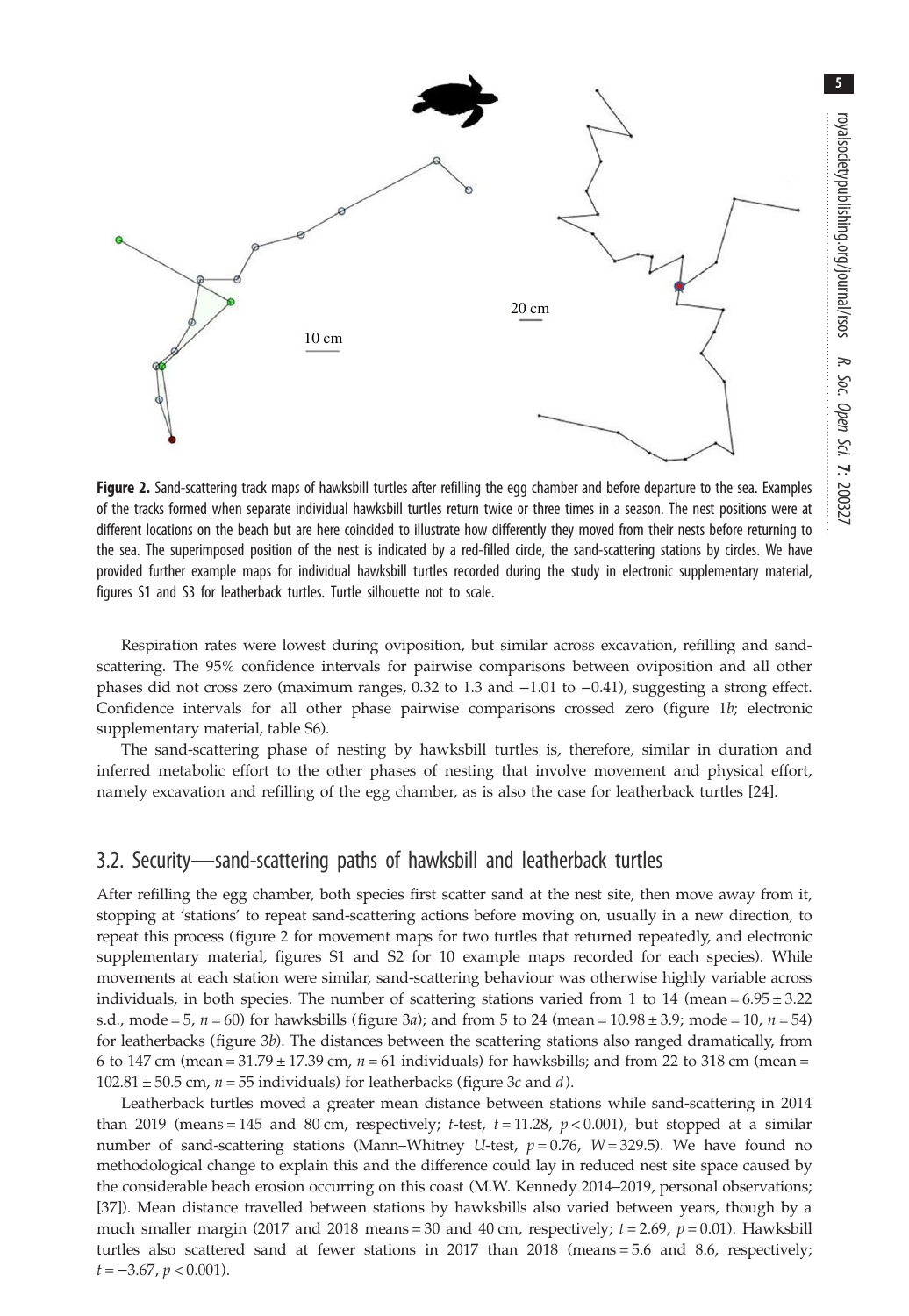<span id="page-4-0"></span>

Figure 2. Sand-scattering track maps of hawksbill turtles after refilling the egg chamber and before departure to the sea. Examples of the tracks formed when separate individual hawksbill turtles return twice or three times in a season. The nest positions were at different locations on the beach but are here coincided to illustrate how differently they moved from their nests before returning to the sea. The superimposed position of the nest is indicated by a red-filled circle, the sand-scattering stations by circles. We have provided further example maps for individual hawksbill turtles recorded during the study in electronic supplementary material, figures S1 and S3 for leatherback turtles. Turtle silhouette not to scale.

Respiration rates were lowest during oviposition, but similar across excavation, refilling and sandscattering. The 95% confidence intervals for pairwise comparisons between oviposition and all other phases did not cross zero (maximum ranges, 0.32 to 1.3 and −1.01 to −0.41), suggesting a strong effect. Confidence intervals for all other phase pairwise comparisons crossed zero ([figure 1](#page-3-0)b; electronic supplementary material, table S6).

The sand-scattering phase of nesting by hawksbill turtles is, therefore, similar in duration and inferred metabolic effort to the other phases of nesting that involve movement and physical effort, namely excavation and refilling of the egg chamber, as is also the case for leatherback turtles [[24\]](#page-9-0).

### 3.2. Security—sand-scattering paths of hawksbill and leatherback turtles

After refilling the egg chamber, both species first scatter sand at the nest site, then move away from it, stopping at 'stations' to repeat sand-scattering actions before moving on, usually in a new direction, to repeat this process (figure 2 for movement maps for two turtles that returned repeatedly, and electronic supplementary material, figures S1 and S2 for 10 example maps recorded for each species). While movements at each station were similar, sand-scattering behaviour was otherwise highly variable across individuals, in both species. The number of scattering stations varied from 1 to 14 (mean =  $6.95 \pm 3.22$ ) s.d., mode = 5,  $n = 60$ ) for hawksbills ([figure 3](#page-5-0)*a*); and from 5 to 24 (mean =  $10.98 \pm 3.9$ ; mode =  $10$ ,  $n = 54$ ) for leatherbacks [\(figure 3](#page-5-0)b). The distances between the scattering stations also ranged dramatically, from 6 to 147 cm (mean =  $31.79 \pm 17.39$  cm,  $n = 61$  individuals) for hawksbills; and from 22 to 318 cm (mean = 102.81  $\pm$  50.5 cm,  $n = 55$  individuals) for leatherbacks [\(figure 3](#page-5-0)c and d).

Leatherback turtles moved a greater mean distance between stations while sand-scattering in 2014 than 2019 (means = 145 and 80 cm, respectively; t-test,  $t = 11.28$ ,  $p < 0.001$ ), but stopped at a similar number of sand-scattering stations (Mann–Whitney U-test,  $p = 0.76$ ,  $W = 329.5$ ). We have found no methodological change to explain this and the difference could lay in reduced nest site space caused by the considerable beach erosion occurring on this coast (M.W. Kennedy 2014–2019, personal observations; [\[37](#page-9-0)]). Mean distance travelled between stations by hawksbills also varied between years, though by a much smaller margin (2017 and 2018 means = 30 and 40 cm, respectively;  $t = 2.69$ ,  $p = 0.01$ ). Hawksbill turtles also scattered sand at fewer stations in 2017 than 2018 (means = 5.6 and 8.6, respectively;  $t = -3.67$ ,  $p < 0.001$ ).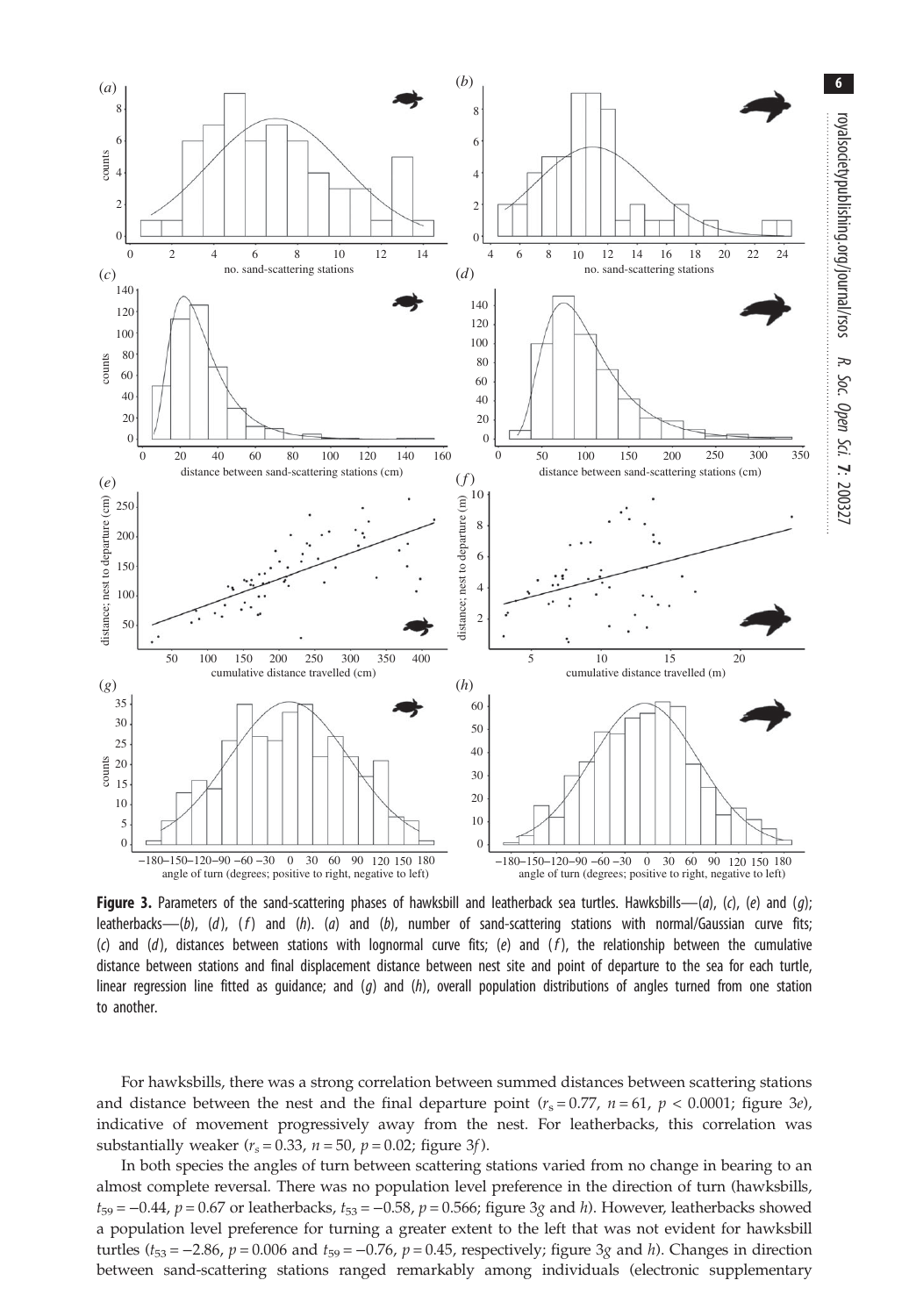<span id="page-5-0"></span>

**Figure 3.** Parameters of the sand-scattering phases of hawksbill and leatherback sea turtles. Hawksbills—(a), (c), (e) and (g); leatherbacks—(b),  $(d)$ ,  $(f)$  and  $(h)$ .  $(a)$  and  $(b)$ , number of sand-scattering stations with normal/Gaussian curve fits; (c) and (d), distances between stations with lognormal curve fits; (e) and (f), the relationship between the cumulative distance between stations and final displacement distance between nest site and point of departure to the sea for each turtle, linear regression line fitted as quidance; and  $(q)$  and  $(h)$ , overall population distributions of angles turned from one station to another.

For hawksbills, there was a strong correlation between summed distances between scattering stations and distance between the nest and the final departure point  $(r<sub>s</sub> = 0.77, n = 61, p < 0.0001$ ; figure 3e), indicative of movement progressively away from the nest. For leatherbacks, this correlation was substantially weaker ( $r_s = 0.33$ ,  $n = 50$ ,  $p = 0.02$ ; figure 3f).

In both species the angles of turn between scattering stations varied from no change in bearing to an almost complete reversal. There was no population level preference in the direction of turn (hawksbills,  $t_{59} = -0.44$ ,  $p = 0.67$  or leatherbacks,  $t_{53} = -0.58$ ,  $p = 0.566$ ; figure 3g and h). However, leatherbacks showed a population level preference for turning a greater extent to the left that was not evident for hawksbill turtles ( $t_{53} = -2.86$ ,  $p = 0.006$  and  $t_{59} = -0.76$ ,  $p = 0.45$ , respectively; figure 3g and h). Changes in direction between sand-scattering stations ranged remarkably among individuals (electronic supplementary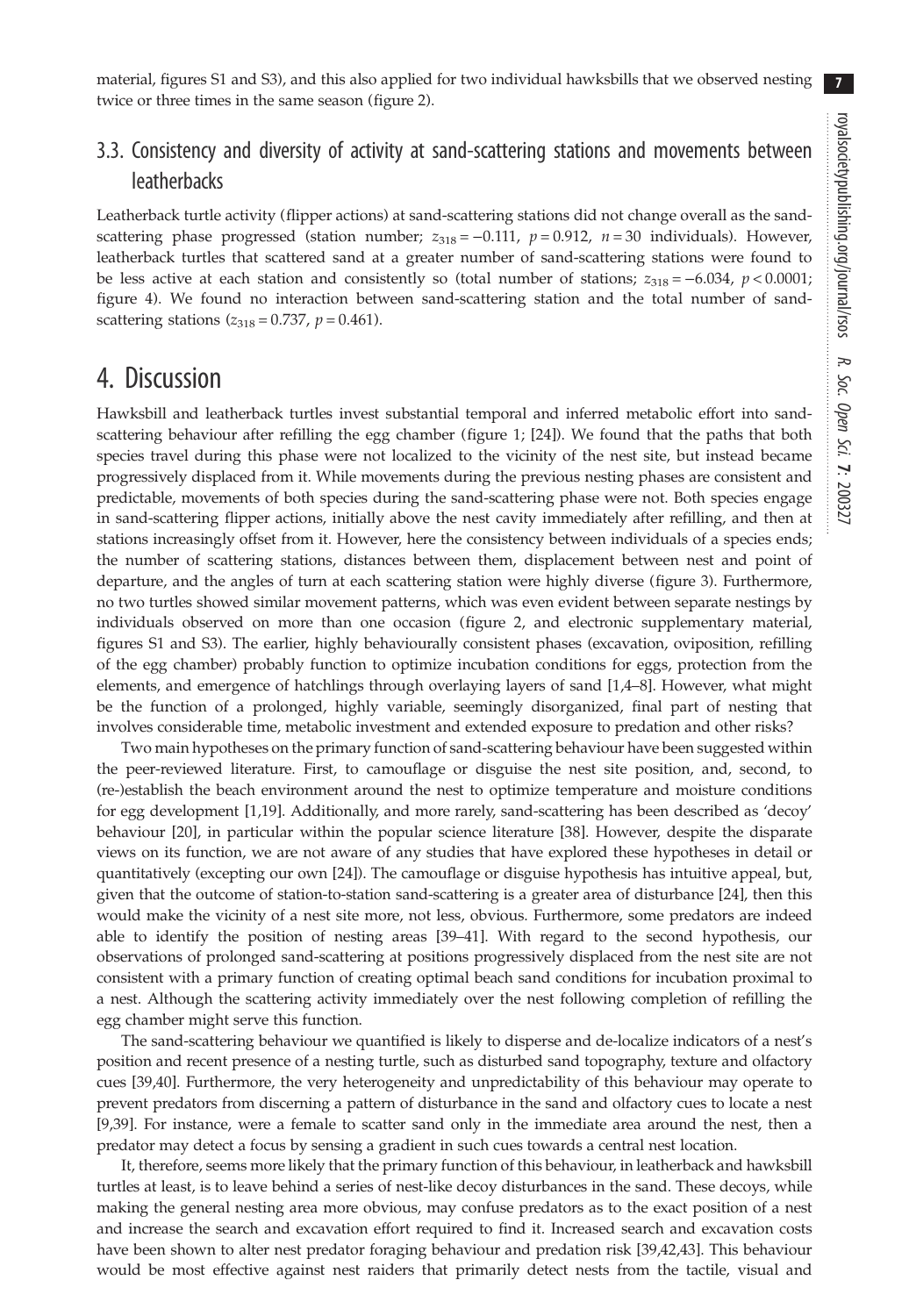material, figures S1 and S3), and this also applied for two individual hawksbills that we observed nesting twice or three times in the same season [\(figure 2\)](#page-4-0).

### 3.3. Consistency and diversity of activity at sand-scattering stations and movements between leatherbacks

Leatherback turtle activity (flipper actions) at sand-scattering stations did not change overall as the sandscattering phase progressed (station number;  $z_{318} = -0.111$ ,  $p = 0.912$ ,  $n = 30$  individuals). However, leatherback turtles that scattered sand at a greater number of sand-scattering stations were found to be less active at each station and consistently so (total number of stations;  $z_{318} = -6.034$ ,  $p < 0.0001$ ; [figure 4\)](#page-7-0). We found no interaction between sand-scattering station and the total number of sandscattering stations  $(z_{318} = 0.737, p = 0.461)$ .

## 4. Discussion

Hawksbill and leatherback turtles invest substantial temporal and inferred metabolic effort into sandscattering behaviour after refilling the egg chamber ([figure 1](#page-3-0); [[24\]](#page-9-0)). We found that the paths that both species travel during this phase were not localized to the vicinity of the nest site, but instead became progressively displaced from it. While movements during the previous nesting phases are consistent and predictable, movements of both species during the sand-scattering phase were not. Both species engage in sand-scattering flipper actions, initially above the nest cavity immediately after refilling, and then at stations increasingly offset from it. However, here the consistency between individuals of a species ends; the number of scattering stations, distances between them, displacement between nest and point of departure, and the angles of turn at each scattering station were highly diverse ([figure 3](#page-5-0)). Furthermore, no two turtles showed similar movement patterns, which was even evident between separate nestings by individuals observed on more than one occasion ([figure 2,](#page-4-0) and electronic supplementary material, figures S1 and S3). The earlier, highly behaviourally consistent phases (excavation, oviposition, refilling of the egg chamber) probably function to optimize incubation conditions for eggs, protection from the elements, and emergence of hatchlings through overlaying layers of sand [[1](#page-8-0),[4](#page-8-0)–[8\]](#page-8-0). However, what might be the function of a prolonged, highly variable, seemingly disorganized, final part of nesting that involves considerable time, metabolic investment and extended exposure to predation and other risks?

Two main hypotheses on the primary function of sand-scattering behaviour have been suggested within the peer-reviewed literature. First, to camouflage or disguise the nest site position, and, second, to (re-)establish the beach environment around the nest to optimize temperature and moisture conditions for egg development [\[1](#page-8-0)[,19](#page-9-0)]. Additionally, and more rarely, sand-scattering has been described as 'decoy' behaviour [\[20](#page-9-0)], in particular within the popular science literature [\[38](#page-9-0)]. However, despite the disparate views on its function, we are not aware of any studies that have explored these hypotheses in detail or quantitatively (excepting our own [[24\]](#page-9-0)). The camouflage or disguise hypothesis has intuitive appeal, but, given that the outcome of station-to-station sand-scattering is a greater area of disturbance [[24\]](#page-9-0), then this would make the vicinity of a nest site more, not less, obvious. Furthermore, some predators are indeed able to identify the position of nesting areas [\[39](#page-9-0)–[41\]](#page-9-0). With regard to the second hypothesis, our observations of prolonged sand-scattering at positions progressively displaced from the nest site are not consistent with a primary function of creating optimal beach sand conditions for incubation proximal to a nest. Although the scattering activity immediately over the nest following completion of refilling the egg chamber might serve this function.

The sand-scattering behaviour we quantified is likely to disperse and de-localize indicators of a nest's position and recent presence of a nesting turtle, such as disturbed sand topography, texture and olfactory cues [[39](#page-9-0),[40\]](#page-9-0). Furthermore, the very heterogeneity and unpredictability of this behaviour may operate to prevent predators from discerning a pattern of disturbance in the sand and olfactory cues to locate a nest [\[9,39](#page-9-0)]. For instance, were a female to scatter sand only in the immediate area around the nest, then a predator may detect a focus by sensing a gradient in such cues towards a central nest location.

It, therefore, seems more likely that the primary function of this behaviour, in leatherback and hawksbill turtles at least, is to leave behind a series of nest-like decoy disturbances in the sand. These decoys, while making the general nesting area more obvious, may confuse predators as to the exact position of a nest and increase the search and excavation effort required to find it. Increased search and excavation costs have been shown to alter nest predator foraging behaviour and predation risk [\[39](#page-9-0),[42](#page-9-0),[43\]](#page-9-0). This behaviour would be most effective against nest raiders that primarily detect nests from the tactile, visual and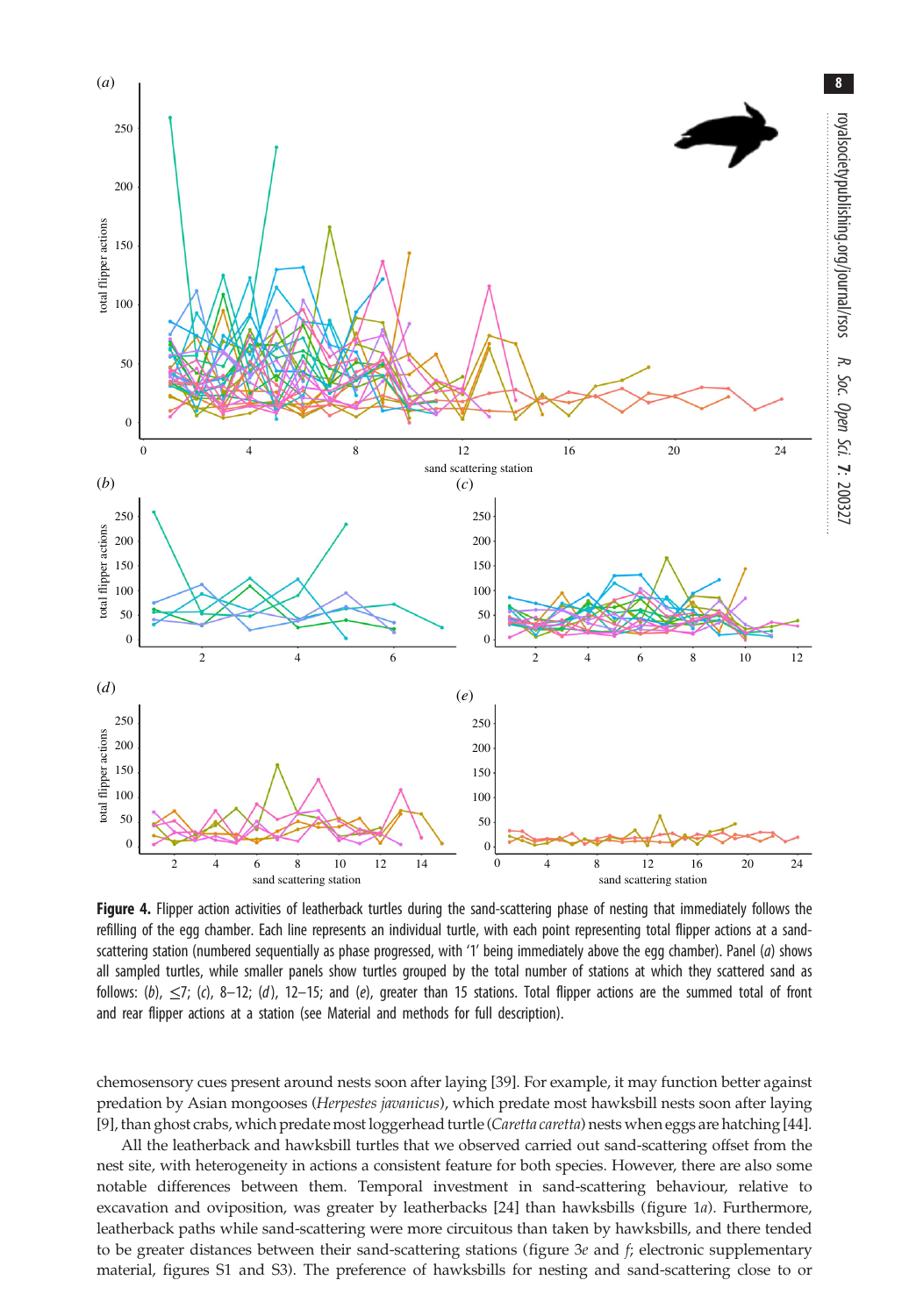<span id="page-7-0"></span>

Figure 4. Flipper action activities of leatherback turtles during the sand-scattering phase of nesting that immediately follows the refilling of the egg chamber. Each line represents an individual turtle, with each point representing total flipper actions at a sandscattering station (numbered sequentially as phase progressed, with '1' being immediately above the egg chamber). Panel (a) shows all sampled turtles, while smaller panels show turtles grouped by the total number of stations at which they scattered sand as follows: (b),  $\leq$ 7; (c), 8–12; (d), 12–15; and (e), greater than 15 stations. Total flipper actions are the summed total of front and rear flipper actions at a station (see Material and methods for full description).

chemosensory cues present around nests soon after laying [[39\]](#page-9-0). For example, it may function better against predation by Asian mongooses (Herpestes javanicus), which predate most hawksbill nests soon after laying [\[9\]](#page-9-0), than ghost crabs, which predate most loggerhead turtle (Caretta caretta) nests when eggs are hatching [[44](#page-9-0)].

All the leatherback and hawksbill turtles that we observed carried out sand-scattering offset from the nest site, with heterogeneity in actions a consistent feature for both species. However, there are also some notable differences between them. Temporal investment in sand-scattering behaviour, relative to excavation and oviposition, was greater by leatherbacks [\[24](#page-9-0)] than hawksbills ([figure 1](#page-3-0)a). Furthermore, leatherback paths while sand-scattering were more circuitous than taken by hawksbills, and there tended to be greater distances between their sand-scattering stations (figure  $3e$  and  $f$ ; electronic supplementary material, figures S1 and S3). The preference of hawksbills for nesting and sand-scattering close to or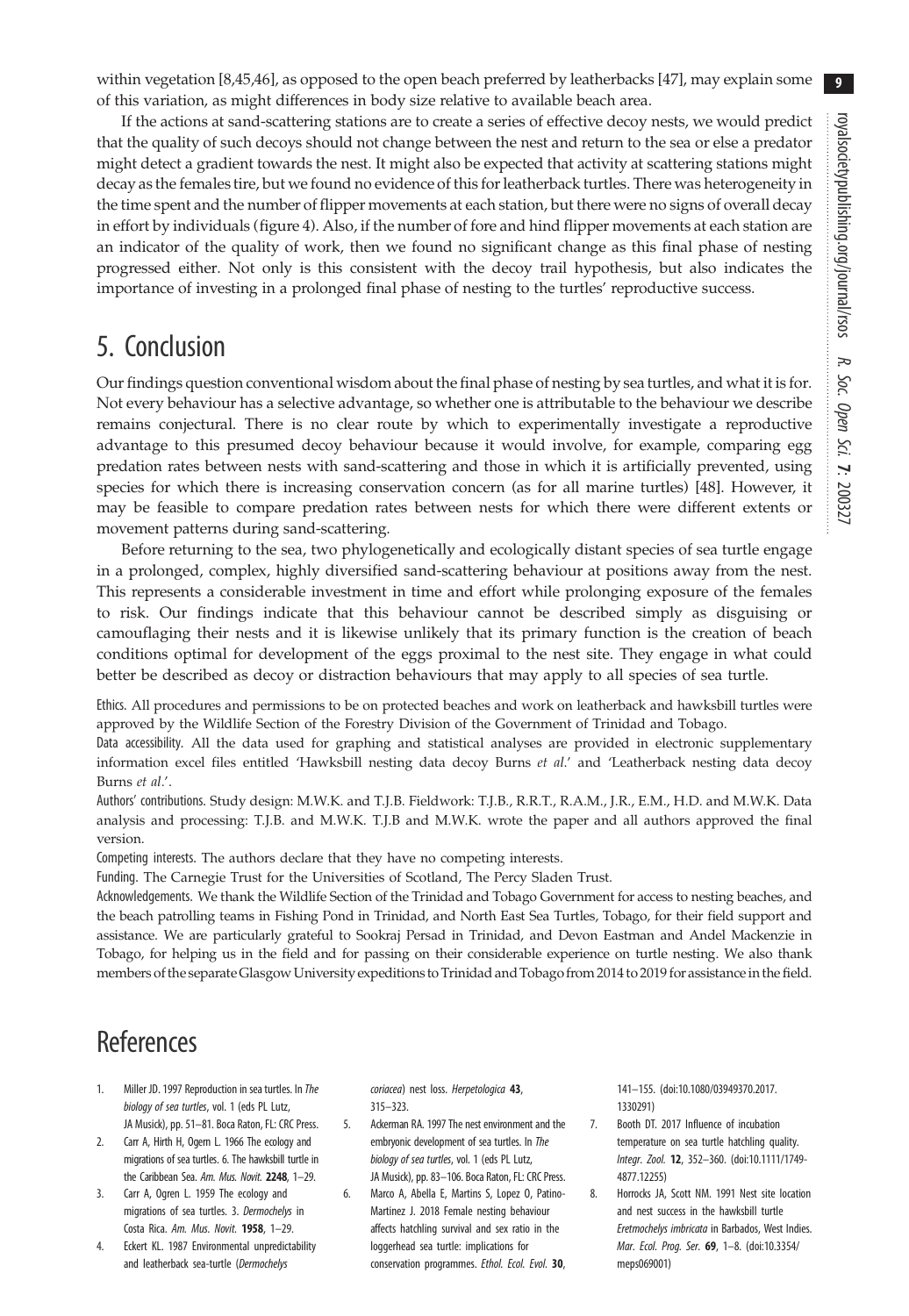<span id="page-8-0"></span>within vegetation [8[,45,46](#page-9-0)], as opposed to the open beach preferred by leatherbacks [[47\]](#page-9-0), may explain some of this variation, as might differences in body size relative to available beach area.

If the actions at sand-scattering stations are to create a series of effective decoy nests, we would predict that the quality of such decoys should not change between the nest and return to the sea or else a predator might detect a gradient towards the nest. It might also be expected that activity at scattering stations might decay as the females tire, but we found no evidence of this for leatherback turtles. There was heterogeneity in the time spent and the number of flipper movements at each station, but there were no signs of overall decay in effort by individuals [\(figure 4](#page-7-0)). Also, if the number of fore and hind flipper movements at each station are an indicator of the quality of work, then we found no significant change as this final phase of nesting progressed either. Not only is this consistent with the decoy trail hypothesis, but also indicates the importance of investing in a prolonged final phase of nesting to the turtles' reproductive success.

## 5. Conclusion

Our findings question conventional wisdom about the final phase of nesting by sea turtles, and what it is for. Not every behaviour has a selective advantage, so whether one is attributable to the behaviour we describe remains conjectural. There is no clear route by which to experimentally investigate a reproductive advantage to this presumed decoy behaviour because it would involve, for example, comparing egg predation rates between nests with sand-scattering and those in which it is artificially prevented, using species for which there is increasing conservation concern (as for all marine turtles) [\[48](#page-9-0)]. However, it may be feasible to compare predation rates between nests for which there were different extents or movement patterns during sand-scattering.

Before returning to the sea, two phylogenetically and ecologically distant species of sea turtle engage in a prolonged, complex, highly diversified sand-scattering behaviour at positions away from the nest. This represents a considerable investment in time and effort while prolonging exposure of the females to risk. Our findings indicate that this behaviour cannot be described simply as disguising or camouflaging their nests and it is likewise unlikely that its primary function is the creation of beach conditions optimal for development of the eggs proximal to the nest site. They engage in what could better be described as decoy or distraction behaviours that may apply to all species of sea turtle.

Ethics. All procedures and permissions to be on protected beaches and work on leatherback and hawksbill turtles were approved by the Wildlife Section of the Forestry Division of the Government of Trinidad and Tobago.

Data accessibility. All the data used for graphing and statistical analyses are provided in electronic supplementary information excel files entitled 'Hawksbill nesting data decoy Burns et al.' and 'Leatherback nesting data decoy Burns et al.'.

Authors' contributions. Study design: M.W.K. and T.J.B. Fieldwork: T.J.B., R.R.T., R.A.M., J.R., E.M., H.D. and M.W.K. Data analysis and processing: T.J.B. and M.W.K. T.J.B and M.W.K. wrote the paper and all authors approved the final version.

Competing interests. The authors declare that they have no competing interests.

Funding. The Carnegie Trust for the Universities of Scotland, The Percy Sladen Trust.

Acknowledgements. We thank the Wildlife Section of the Trinidad and Tobago Government for access to nesting beaches, and the beach patrolling teams in Fishing Pond in Trinidad, and North East Sea Turtles, Tobago, for their field support and assistance. We are particularly grateful to Sookraj Persad in Trinidad, and Devon Eastman and Andel Mackenzie in Tobago, for helping us in the field and for passing on their considerable experience on turtle nesting. We also thank members of the separate Glasgow University expeditions to Trinidad and Tobago from 2014 to 2019 for assistance in the field.

## References

- 1. Miller JD. 1997 Reproduction in sea turtles. In The biology of sea turtles, vol. 1 (eds PL Lutz, JA Musick), pp. 51–81. Boca Raton, FL: CRC Press.
- 2. Carr A, Hirth H, Ogern L. 1966 The ecology and migrations of sea turtles. 6. The hawksbill turtle in the Caribbean Sea. Am. Mus. Novit. 2248, 1-29.
- 3. Carr A, Ogren L. 1959 The ecology and migrations of sea turtles. 3. Dermochelys in Costa Rica. Am. Mus. Novit. 1958, 1–29.
- 4. Eckert KL. 1987 Environmental unpredictability and leatherback sea-turtle (Dermochelys

coriacea) nest loss. Herpetologica 43, 315–323.

- 5. Ackerman RA. 1997 The nest environment and the embryonic development of sea turtles. In The biology of sea turtles, vol. 1 (eds PL Lutz, JA Musick), pp. 83–106. Boca Raton, FL: CRC Press.
- 6. Marco A, Abella E, Martins S, Lopez O, Patino-Martinez J. 2018 Female nesting behaviour affects hatchling survival and sex ratio in the loggerhead sea turtle: implications for conservation programmes. Ethol. Ecol. Evol. 30,

141–155. ([doi:10.1080/03949370.2017.](http://dx.doi.org/10.1080/03949370.2017.1330291) [1330291](http://dx.doi.org/10.1080/03949370.2017.1330291))

- 7. Booth DT. 2017 Influence of incubation temperature on sea turtle hatchling quality. Integr. Zool. 12, 352–360. ([doi:10.1111/1749-](http://dx.doi.org/10.1111/1749-4877.12255) [4877.12255](http://dx.doi.org/10.1111/1749-4877.12255))
- 8. Horrocks JA, Scott NM. 1991 Nest site location and nest success in the hawksbill turtle Eretmochelys imbricata in Barbados, West Indies. Mar. Ecol. Prog. Ser. 69, 1–8. [\(doi:10.3354/](http://dx.doi.org/10.3354/meps069001) [meps069001\)](http://dx.doi.org/10.3354/meps069001)